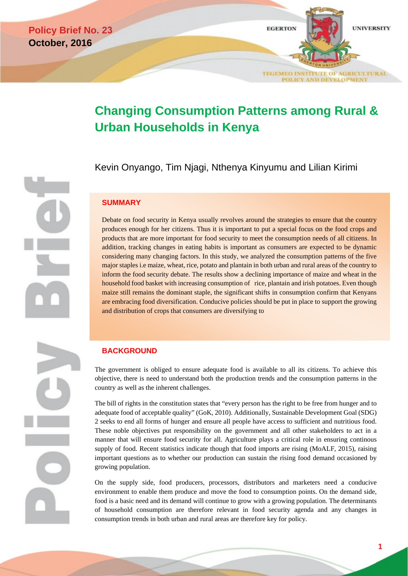

# **Changing Consumption Patterns among Rural & Urban Households in Kenya**

Kevin Onyango, Tim Njagi, Nthenya Kinyumu and Lilian Kirimi

# **SUMMARY**

Debate on food security in Kenya usually revolves around the strategies to ensure that the country produces enough for her citizens. Thus it is important to put a special focus on the food crops and products that are more important for food security to meet the consumption needs of all citizens. In addition, tracking changes in eating habits is important as consumers are expected to be dynamic considering many changing factors. In this study, we analyzed the consumption patterns of the five major staples i.e maize, wheat, rice, potato and plantain in both urban and rural areas of the country to inform the food security debate. The results show a declining importance of maize and wheat in the household food basket with increasing consumption of rice, plantain and irish potatoes. Even though maize still remains the dominant staple, the significant shifts in consumption confirm that Kenyans are embracing food diversification. Conducive policies should be put in place to support the growing and distribution of crops that consumers are diversifying to

**BACKGROUND**

The government is obliged to ensure adequate food is available to all its citizens. To achieve this objective, there is need to understand both the production trends and the consumption patterns in the country as well as the inherent challenges.

The bill of rights in the constitution states that "every person has the right to be free from hunger and to adequate food of acceptable quality" (GoK, 2010). Additionally, Sustainable Development Goal (SDG) 2 seeks to end all forms of hunger and ensure all people have access to sufficient and nutritious food. These noble objectives put responsibility on the government and all other stakeholders to act in a manner that will ensure food security for all. Agriculture plays a critical role in ensuring continous supply of food. Recent statistics indicate though that food imports are rising (MoALF, 2015), raising important questions as to whether our production can sustain the rising food demand occasioned by growing population.

On the supply side, food producers, processors, distributors and marketers need a conducive environment to enable them produce and move the food to consumption points. On the demand side, food is a basic need and its demand will continue to grow with a growing population. The determinants of household consumption are therefore relevant in food security agenda and any changes in consumption trends in both urban and rural areas are therefore key for policy.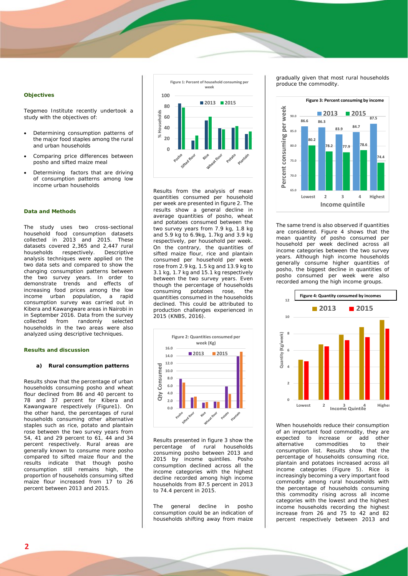#### **Objectives**

Tegemeo Institute recently undertook a study with the objectives of:

- Determining consumption patterns of the major food staples among the rural and urban households
- Comparing price differences between posho and sifted maize meal
- Determining factors that are driving of consumption patterns among low income urban households

## **Data and Methods**

The study uses two cross-sectional household food consumption datasets collected in 2013 and 2015. These datasets covered 2,365 and 2,447 rural<br>households respectively Descriptive households respectively. analysis techniques were applied on the two data sets and compared to show the changing consumption patterns between the two survey years. In order to demonstrate trends and effects of increasing food prices among the low<br>income urban population, a rapid urban population, a rapid consumption survey was carried out in Kibera and Kawangware areas in Nairobi in in September 2016. Data from the survey collected from randomly selected households in the two areas were also analyzed using descriptive techniques.

#### **Results and discussion**

#### **a) Rural consumption patterns**

Results show that the percentage of urban households consuming posho and wheat flour declined from 86 and 40 percent to 78 and 37 percent for Kibera and Kawangware respectively (Figure1). On the other hand, the percentages of rural households consuming other alternative staples such as rice, potato and plantain rose between the two survey years from 54, 41 and 29 percent to 61, 44 and 34 percent respectively. Rural areas are generally known to consume more posho compared to sifted maize flour and the results indicate that though posho consumption still remains high, the proportion of households consuming sifted maize flour increased from 17 to 26 percent between 2013 and 2015.



Results from the analysis of mean quantities consumed per household per week are presented in figure 2. The results show a general decline in average quantities of posho, wheat and potatoes consumed between the two survey years from 7.9 kg, 1.8 kg and 5.9 kg to 6.9kg, 1.7kg and 3.9 kg respectively, per household per week. On the contrary, the quantities of sifted maize flour, rice and plantain consumed per household per week rose from 2.9 kg, 1.5 kg and 13.9 kg to 3.1 kg, 1.7 kg and 15.1 kg respectively between the two survey years. Even though the percentage of households<br>consuming potatoes rose, the potatoes rose, quantities consumed in the households declined. This could be attributed to production challenges experienced in 2015 (KNBS, 2016).



Results presented in figure 3 show the percentage of rural households consuming posho between 2013 and 2015 by income quintiles. Posho consumption declined across all the income categories with the highest decline recorded among high income households from 87.5 percent in 2013 to 74.4 percent in 2015.

The general decline in posho consumption could be an indication of households shifting away from maize gradually given that most rural households produce the commodity.



The same trend is also observed if quantities are considered. Figure 4 shows that the mean quantity of posho consumed per household per week declined across all income categories between the two survey years. Although high income households generally consume higher quantities of posho, the biggest decline in quantities of posho consumed per week were also recorded among the high income groups.



When households reduce their consumption of an important food commodity, they are expected to increase or add other<br>alternative commodities to their commodities to their consumption list. Results show that the percentage of households consuming rice, plantain and potatoes increased across all income categories (Figure 5). Rice is increasingly becoming a very important food commodity among rural households with the percentage of households consuming this commodity rising across all income categories with the lowest and the highest income households recording the highest increase from 26 and 75 to 42 and 82 percent respectively between 2013 and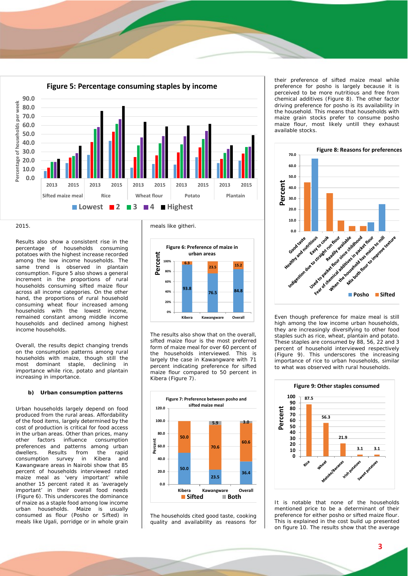

2015.

Results also show a consistent rise in the percentage of households consuming potatoes with the highest increase recorded among the low income households. The same trend is observed in plantain consumption. Figure 5 also shows a general increment in the proportions of rural households consuming sifted maize flour across all income categories. On the other hand, the proportions of rural household consuming wheat flour increased among<br>households with the lowest income, households with the lowest income, remained constant among middle income households and declined among highest income households.

Overall, the results depict changing trends on the consumption patterns among rural households with maize, though still the<br>most dominant staple, declining in most dominant staple, declining in importance while rice, potato and plantain increasing in importance.

#### **b) Urban consumption patterns**

Urban households largely depend on food produced from the rural areas. Affordability of the food items, largely determined by the cost of production is critical for food access in the urban areas. Other than prices, many other factors influence consumption preferences and patterns among urban dwellers. Results from the rapid<br>consumption survey in Kibera and consumption survey in Kibera and Kawangware areas in Nairobi show that 85 percent of households interviewed rated maize meal as 'very important' while another 15 percent rated it as 'averagely important' in their overall food needs (Figure 6). This underscores the dominance of maize as a staple food among low income<br>urban households. Maize is usually urban households. consumed as flour (Posho or Sifted) in meals like *Ugali*, porridge or in whole grain

meals like *githeri*.



The results also show that on the overall, sifted maize flour is the most preferred form of maize meal for over 60 percent of the households interviewed. This is largely the case in Kawangware with 71 percent indicating preference for sifted maize flour compared to 50 percent in Kibera (Figure 7).



The households cited good taste, cooking quality and availability as reasons for

their preference of sifted maize meal while preference for posho is largely because it is perceived to be more nutritious and free from chemical additives (Figure 8). The other factor driving preference for posho is its availability in the household. This means that households with maize grain stocks prefer to consume posho maize flour, most likely untill they exhaust available stocks.



Even though preference for maize meal is still high among the low income urban households, they are increasingly diversifying to other food staples such as rice, wheat, plantain and potato. These staples are consumed by 88, 56, 22 and 3 percent of household interviewed respectively (Figure 9). This underscores the increasing importance of rice to urban households, similar to what was observed with rural households.



It is notable that none of the households mentioned price to be a determinant of their preference for either posho or sifted maize flour. This is explained in the cost build up presented on figure 10. The results show that the average